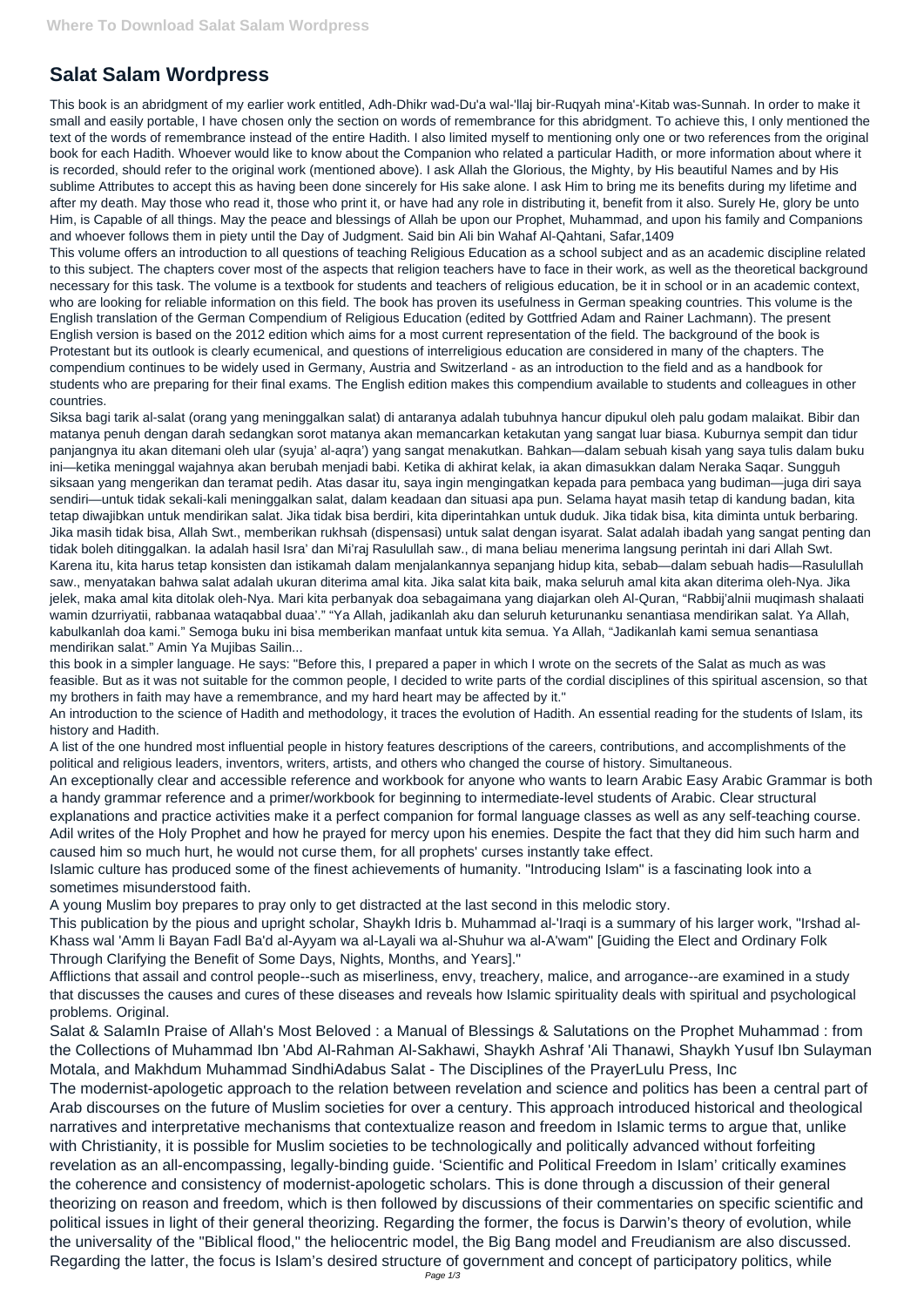## **Salat Salam Wordpress**

This book is an abridgment of my earlier work entitled, Adh-Dhikr wad-Du'a wal-'llaj bir-Ruqyah mina'-Kitab was-Sunnah. In order to make it small and easily portable, I have chosen only the section on words of remembrance for this abridgment. To achieve this, I only mentioned the text of the words of remembrance instead of the entire Hadith. I also limited myself to mentioning only one or two references from the original book for each Hadith. Whoever would like to know about the Companion who related a particular Hadith, or more information about where it is recorded, should refer to the original work (mentioned above). I ask Allah the Glorious, the Mighty, by His beautiful Names and by His sublime Attributes to accept this as having been done sincerely for His sake alone. I ask Him to bring me its benefits during my lifetime and after my death. May those who read it, those who print it, or have had any role in distributing it, benefit from it also. Surely He, glory be unto Him, is Capable of all things. May the peace and blessings of Allah be upon our Prophet, Muhammad, and upon his family and Companions and whoever follows them in piety until the Day of Judgment. Said bin Ali bin Wahaf Al-Qahtani, Safar,1409

This volume offers an introduction to all questions of teaching Religious Education as a school subject and as an academic discipline related to this subject. The chapters cover most of the aspects that religion teachers have to face in their work, as well as the theoretical background necessary for this task. The volume is a textbook for students and teachers of religious education, be it in school or in an academic context, who are looking for reliable information on this field. The book has proven its usefulness in German speaking countries. This volume is the English translation of the German Compendium of Religious Education (edited by Gottfried Adam and Rainer Lachmann). The present English version is based on the 2012 edition which aims for a most current representation of the field. The background of the book is Protestant but its outlook is clearly ecumenical, and questions of interreligious education are considered in many of the chapters. The compendium continues to be widely used in Germany, Austria and Switzerland - as an introduction to the field and as a handbook for students who are preparing for their final exams. The English edition makes this compendium available to students and colleagues in other countries.

Siksa bagi tarik al-salat (orang yang meninggalkan salat) di antaranya adalah tubuhnya hancur dipukul oleh palu godam malaikat. Bibir dan matanya penuh dengan darah sedangkan sorot matanya akan memancarkan ketakutan yang sangat luar biasa. Kuburnya sempit dan tidur panjangnya itu akan ditemani oleh ular (syuja' al-aqra') yang sangat menakutkan. Bahkan—dalam sebuah kisah yang saya tulis dalam buku ini—ketika meninggal wajahnya akan berubah menjadi babi. Ketika di akhirat kelak, ia akan dimasukkan dalam Neraka Saqar. Sungguh siksaan yang mengerikan dan teramat pedih. Atas dasar itu, saya ingin mengingatkan kepada para pembaca yang budiman—juga diri saya sendiri—untuk tidak sekali-kali meninggalkan salat, dalam keadaan dan situasi apa pun. Selama hayat masih tetap di kandung badan, kita tetap diwajibkan untuk mendirikan salat. Jika tidak bisa berdiri, kita diperintahkan untuk duduk. Jika tidak bisa, kita diminta untuk berbaring. Jika masih tidak bisa, Allah Swt., memberikan rukhsah (dispensasi) untuk salat dengan isyarat. Salat adalah ibadah yang sangat penting dan tidak boleh ditinggalkan. Ia adalah hasil Isra' dan Mi'raj Rasulullah saw., di mana beliau menerima langsung perintah ini dari Allah Swt. Karena itu, kita harus tetap konsisten dan istikamah dalam menjalankannya sepanjang hidup kita, sebab—dalam sebuah hadis—Rasulullah saw., menyatakan bahwa salat adalah ukuran diterima amal kita. Jika salat kita baik, maka seluruh amal kita akan diterima oleh-Nya. Jika jelek, maka amal kita ditolak oleh-Nya. Mari kita perbanyak doa sebagaimana yang diajarkan oleh Al-Quran, "Rabbij'alnii muqimash shalaati wamin dzurriyatii, rabbanaa wataqabbal duaa'." "Ya Allah, jadikanlah aku dan seluruh keturunanku senantiasa mendirikan salat. Ya Allah, kabulkanlah doa kami." Semoga buku ini bisa memberikan manfaat untuk kita semua. Ya Allah, "Jadikanlah kami semua senantiasa mendirikan salat." Amin Ya Mujibas Sailin...

this book in a simpler language. He says: "Before this, I prepared a paper in which I wrote on the secrets of the Salat as much as was feasible. But as it was not suitable for the common people, I decided to write parts of the cordial disciplines of this spiritual ascension, so that my brothers in faith may have a remembrance, and my hard heart may be affected by it."

An introduction to the science of Hadith and methodology, it traces the evolution of Hadith. An essential reading for the students of Islam, its history and Hadith.

A list of the one hundred most influential people in history features descriptions of the careers, contributions, and accomplishments of the political and religious leaders, inventors, writers, artists, and others who changed the course of history. Simultaneous.

An exceptionally clear and accessible reference and workbook for anyone who wants to learn Arabic Easy Arabic Grammar is both a handy grammar reference and a primer/workbook for beginning to intermediate-level students of Arabic. Clear structural

explanations and practice activities make it a perfect companion for formal language classes as well as any self-teaching course. Adil writes of the Holy Prophet and how he prayed for mercy upon his enemies. Despite the fact that they did him such harm and caused him so much hurt, he would not curse them, for all prophets' curses instantly take effect.

Islamic culture has produced some of the finest achievements of humanity. "Introducing Islam" is a fascinating look into a sometimes misunderstood faith.

A young Muslim boy prepares to pray only to get distracted at the last second in this melodic story.

This publication by the pious and upright scholar, Shaykh Idris b. Muhammad al-'Iraqi is a summary of his larger work, "Irshad al-Khass wal 'Amm li Bayan Fadl Ba'd al-Ayyam wa al-Layali wa al-Shuhur wa al-A'wam" [Guiding the Elect and Ordinary Folk Through Clarifying the Benefit of Some Days, Nights, Months, and Years]."

Afflictions that assail and control people--such as miserliness, envy, treachery, malice, and arrogance--are examined in a study

that discusses the causes and cures of these diseases and reveals how Islamic spirituality deals with spiritual and psychological problems. Original.

Salat & SalamIn Praise of Allah's Most Beloved : a Manual of Blessings & Salutations on the Prophet Muhammad : from the Collections of Muhammad Ibn 'Abd Al-Rahman Al-Sakhawi, Shaykh Ashraf 'Ali Thanawi, Shaykh Yusuf Ibn Sulayman Motala, and Makhdum Muhammad SindhiAdabus Salat - The Disciplines of the PrayerLulu Press, Inc The modernist-apologetic approach to the relation between revelation and science and politics has been a central part of Arab discourses on the future of Muslim societies for over a century. This approach introduced historical and theological narratives and interpretative mechanisms that contextualize reason and freedom in Islamic terms to argue that, unlike with Christianity, it is possible for Muslim societies to be technologically and politically advanced without forfeiting revelation as an all-encompassing, legally-binding guide. 'Scientific and Political Freedom in Islam' critically examines the coherence and consistency of modernist-apologetic scholars. This is done through a discussion of their general theorizing on reason and freedom, which is then followed by discussions of their commentaries on specific scientific and political issues in light of their general theorizing. Regarding the former, the focus is Darwin's theory of evolution, while the universality of the "Biblical flood," the heliocentric model, the Big Bang model and Freudianism are also discussed. Regarding the latter, the focus is Islam's desired structure of government and concept of participatory politics, while Page 1/3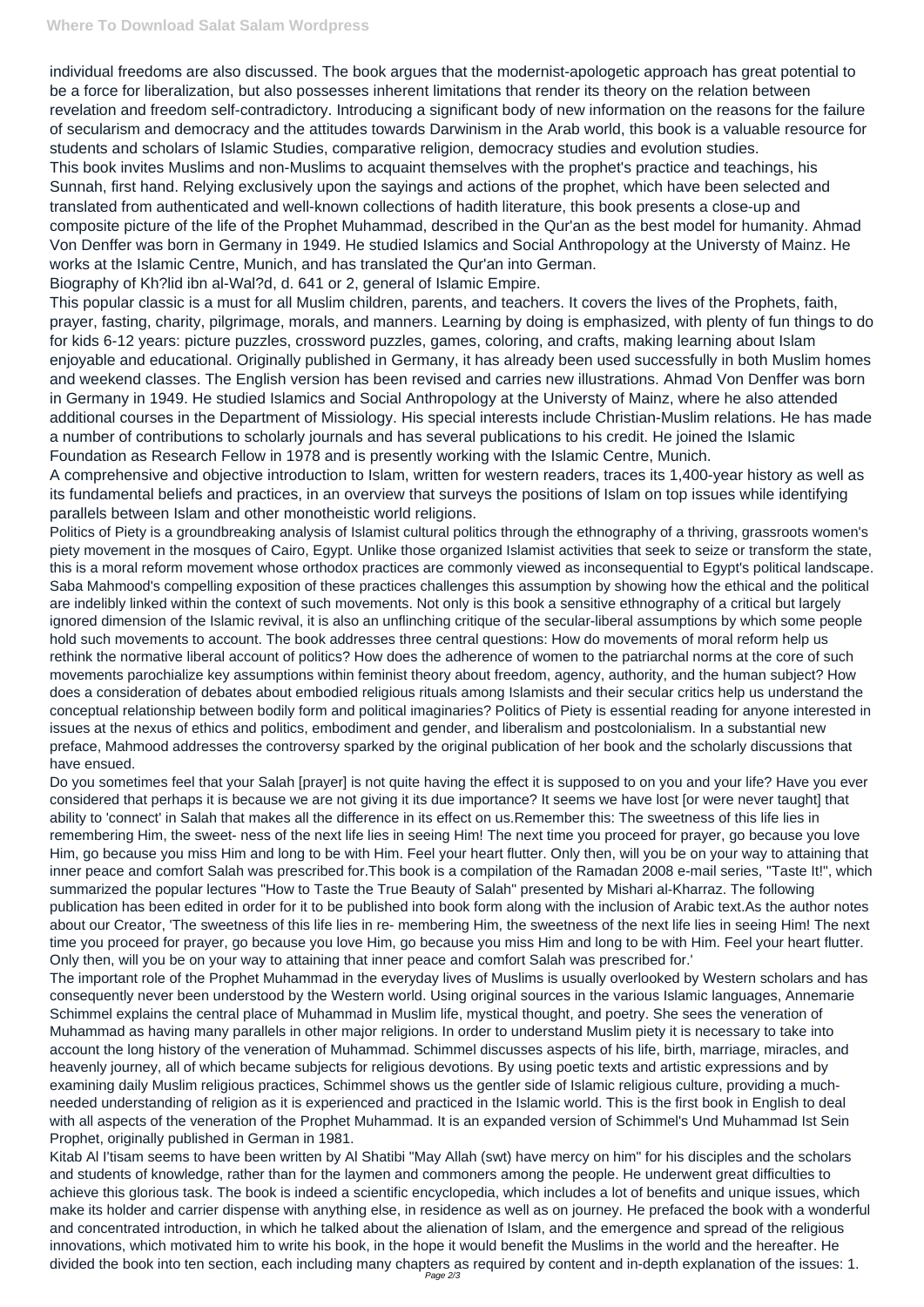individual freedoms are also discussed. The book argues that the modernist-apologetic approach has great potential to be a force for liberalization, but also possesses inherent limitations that render its theory on the relation between revelation and freedom self-contradictory. Introducing a significant body of new information on the reasons for the failure of secularism and democracy and the attitudes towards Darwinism in the Arab world, this book is a valuable resource for students and scholars of Islamic Studies, comparative religion, democracy studies and evolution studies.

This book invites Muslims and non-Muslims to acquaint themselves with the prophet's practice and teachings, his Sunnah, first hand. Relying exclusively upon the sayings and actions of the prophet, which have been selected and translated from authenticated and well-known collections of hadith literature, this book presents a close-up and composite picture of the life of the Prophet Muhammad, described in the Qur'an as the best model for humanity. Ahmad Von Denffer was born in Germany in 1949. He studied Islamics and Social Anthropology at the Universty of Mainz. He works at the Islamic Centre, Munich, and has translated the Qur'an into German.

Biography of Kh?lid ibn al-Wal?d, d. 641 or 2, general of Islamic Empire.

This popular classic is a must for all Muslim children, parents, and teachers. It covers the lives of the Prophets, faith, prayer, fasting, charity, pilgrimage, morals, and manners. Learning by doing is emphasized, with plenty of fun things to do for kids 6-12 years: picture puzzles, crossword puzzles, games, coloring, and crafts, making learning about Islam enjoyable and educational. Originally published in Germany, it has already been used successfully in both Muslim homes and weekend classes. The English version has been revised and carries new illustrations. Ahmad Von Denffer was born in Germany in 1949. He studied Islamics and Social Anthropology at the Universty of Mainz, where he also attended additional courses in the Department of Missiology. His special interests include Christian-Muslim relations. He has made a number of contributions to scholarly journals and has several publications to his credit. He joined the Islamic Foundation as Research Fellow in 1978 and is presently working with the Islamic Centre, Munich.

A comprehensive and objective introduction to Islam, written for western readers, traces its 1,400-year history as well as its fundamental beliefs and practices, in an overview that surveys the positions of Islam on top issues while identifying parallels between Islam and other monotheistic world religions.

Politics of Piety is a groundbreaking analysis of Islamist cultural politics through the ethnography of a thriving, grassroots women's piety movement in the mosques of Cairo, Egypt. Unlike those organized Islamist activities that seek to seize or transform the state, this is a moral reform movement whose orthodox practices are commonly viewed as inconsequential to Egypt's political landscape. Saba Mahmood's compelling exposition of these practices challenges this assumption by showing how the ethical and the political are indelibly linked within the context of such movements. Not only is this book a sensitive ethnography of a critical but largely ignored dimension of the Islamic revival, it is also an unflinching critique of the secular-liberal assumptions by which some people hold such movements to account. The book addresses three central questions: How do movements of moral reform help us rethink the normative liberal account of politics? How does the adherence of women to the patriarchal norms at the core of such movements parochialize key assumptions within feminist theory about freedom, agency, authority, and the human subject? How does a consideration of debates about embodied religious rituals among Islamists and their secular critics help us understand the conceptual relationship between bodily form and political imaginaries? Politics of Piety is essential reading for anyone interested in issues at the nexus of ethics and politics, embodiment and gender, and liberalism and postcolonialism. In a substantial new preface, Mahmood addresses the controversy sparked by the original publication of her book and the scholarly discussions that have ensued.

Do you sometimes feel that your Salah [prayer] is not quite having the effect it is supposed to on you and your life? Have you ever considered that perhaps it is because we are not giving it its due importance? It seems we have lost [or were never taught] that ability to 'connect' in Salah that makes all the difference in its effect on us.Remember this: The sweetness of this life lies in remembering Him, the sweet- ness of the next life lies in seeing Him! The next time you proceed for prayer, go because you love Him, go because you miss Him and long to be with Him. Feel your heart flutter. Only then, will you be on your way to attaining that inner peace and comfort Salah was prescribed for.This book is a compilation of the Ramadan 2008 e-mail series, "Taste It!", which summarized the popular lectures "How to Taste the True Beauty of Salah" presented by Mishari al-Kharraz. The following publication has been edited in order for it to be published into book form along with the inclusion of Arabic text.As the author notes about our Creator, 'The sweetness of this life lies in re- membering Him, the sweetness of the next life lies in seeing Him! The next time you proceed for prayer, go because you love Him, go because you miss Him and long to be with Him. Feel your heart flutter. Only then, will you be on your way to attaining that inner peace and comfort Salah was prescribed for.'

The important role of the Prophet Muhammad in the everyday lives of Muslims is usually overlooked by Western scholars and has

consequently never been understood by the Western world. Using original sources in the various Islamic languages, Annemarie Schimmel explains the central place of Muhammad in Muslim life, mystical thought, and poetry. She sees the veneration of Muhammad as having many parallels in other major religions. In order to understand Muslim piety it is necessary to take into account the long history of the veneration of Muhammad. Schimmel discusses aspects of his life, birth, marriage, miracles, and heavenly journey, all of which became subjects for religious devotions. By using poetic texts and artistic expressions and by examining daily Muslim religious practices, Schimmel shows us the gentler side of Islamic religious culture, providing a muchneeded understanding of religion as it is experienced and practiced in the Islamic world. This is the first book in English to deal with all aspects of the veneration of the Prophet Muhammad. It is an expanded version of Schimmel's Und Muhammad Ist Sein Prophet, originally published in German in 1981.

Kitab Al I'tisam seems to have been written by Al Shatibi "May Allah (swt) have mercy on him" for his disciples and the scholars and students of knowledge, rather than for the laymen and commoners among the people. He underwent great difficulties to achieve this glorious task. The book is indeed a scientific encyclopedia, which includes a lot of benefits and unique issues, which make its holder and carrier dispense with anything else, in residence as well as on journey. He prefaced the book with a wonderful and concentrated introduction, in which he talked about the alienation of Islam, and the emergence and spread of the religious innovations, which motivated him to write his book, in the hope it would benefit the Muslims in the world and the hereafter. He divided the book into ten section, each including many chapters as required by content and in-depth explanation of the issues: 1. Page 2/3